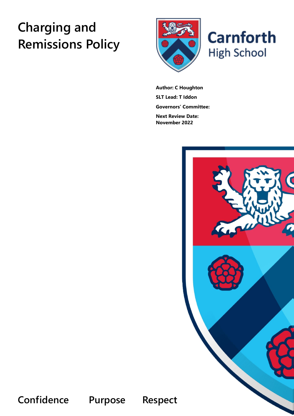# **Charging and Remissions Policy**





**Author: C Houghton SLT Lead: T Iddon Governors' Committee: Next Review Date: November 2022**



**Confidence Purpose Respect**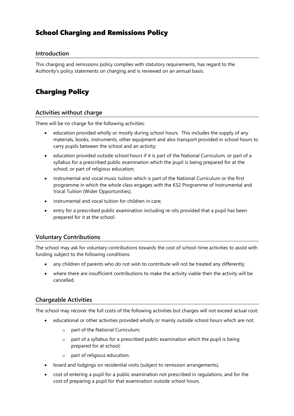## School Charging and Remissions Policy

### **Introduction**

This charging and remissions policy complies with statutory requirements, has regard to the Authority's policy statements on charging and is reviewed on an annual basis.

## Charging Policy

#### **Activities without charge**

There will be no charge for the following activities:

- education provided wholly or mostly during school hours. This includes the supply of any materials, books, instruments, other equipment and also transport provided in school hours to carry pupils between the school and an activity;
- education provided outside school hours if it is part of the National Curriculum, or part of a syllabus for a prescribed public examination which the pupil is being prepared for at the school, or part of religious education;
- instrumental and vocal music tuition which is part of the National Curriculum or the first programme in which the whole class engages with the KS2 Programme of Instrumental and Vocal Tuition (Wider Opportunities);
- instrumental and vocal tuition for children in care;
- entry for a prescribed public examination including re-sits provided that a pupil has been prepared for it at the school.

#### **Voluntary Contributions**

The school may ask for voluntary contributions towards the cost of school-time activities to assist with funding subject to the following conditions:

- any children of parents who do not wish to contribute will not be treated any differently;
- where there are insufficient contributions to make the activity viable then the activity will be cancelled.

#### **Chargeable Activities**

The school may recover the full costs of the following activities but charges will not exceed actual cost:

- educational or other activities provided wholly or mainly outside school hours which are not:
	- o part of the National Curriculum;
	- $\circ$  part of a syllabus for a prescribed public examination which the pupil is being prepared for at school;
	- o part of religious education.
- board and lodgings on residential visits (subject to remission arrangements).
- cost of entering a pupil for a public examination not prescribed in regulations, and for the cost of preparing a pupil for that examination outside school hours.